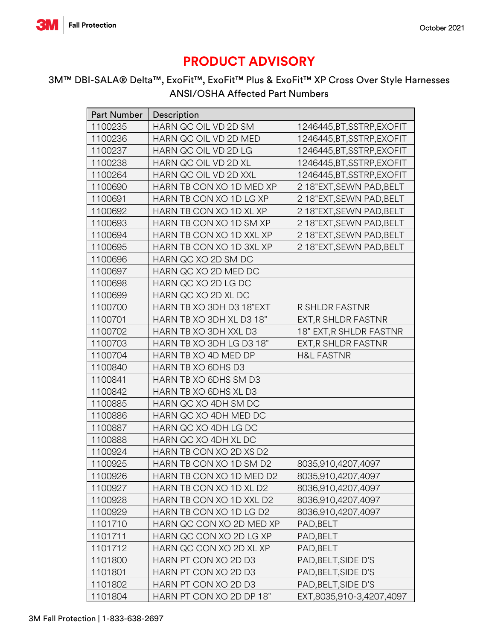

## **PRODUCT ADVISORY**

## 3M™ DBI-SALA® Delta™, ExoFit™, ExoFit™ Plus & ExoFit™ XP Cross Over Style Harnesses ANSI/OSHA Affected Part Numbers

| <b>Part Number</b> | Description              |                            |
|--------------------|--------------------------|----------------------------|
| 1100235            | HARN QC OIL VD 2D SM     | 1246445, BT, SSTRP, EXOFIT |
| 1100236            | HARN QC OIL VD 2D MED    | 1246445, BT, SSTRP, EXOFIT |
| 1100237            | HARN QC OIL VD 2D LG     | 1246445, BT, SSTRP, EXOFIT |
| 1100238            | HARN QC OIL VD 2D XL     | 1246445, BT, SSTRP, EXOFIT |
| 1100264            | HARN QC OIL VD 2D XXL    | 1246445, BT, SSTRP, EXOFIT |
| 1100690            | HARN TB CON XO 1D MED XP | 218"EXT, SEWN PAD, BELT    |
| 1100691            | HARN TB CON XO 1D LG XP  | 218"EXT, SEWN PAD, BELT    |
| 1100692            | HARN TB CON XO 1D XL XP  | 218"EXT, SEWN PAD, BELT    |
| 1100693            | HARN TB CON XO 1D SM XP  | 218"EXT, SEWN PAD, BELT    |
| 1100694            | HARN TB CON XO 1D XXL XP | 218"EXT, SEWN PAD, BELT    |
| 1100695            | HARN TB CON XO 1D 3XL XP | 218"EXT, SEWN PAD, BELT    |
| 1100696            | HARN QC XO 2D SM DC      |                            |
| 1100697            | HARN QC XO 2D MED DC     |                            |
| 1100698            | HARN QC XO 2D LG DC      |                            |
| 1100699            | HARN QC XO 2D XL DC      |                            |
| 1100700            | HARN TB XO 3DH D3 18"EXT | R SHLDR FASTNR             |
| 1100701            | HARN TB XO 3DH XL D3 18" | EXT, R SHLDR FASTNR        |
| 1100702            | HARN TB XO 3DH XXL D3    | 18" EXT, R SHLDR FASTNR    |
| 1100703            | HARN TB XO 3DH LG D3 18" | EXT, R SHLDR FASTNR        |
| 1100704            | HARN TB XO 4D MED DP     | <b>H&amp;L FASTNR</b>      |
| 1100840            | HARN TB XO 6DHS D3       |                            |
| 1100841            | HARN TB XO 6DHS SM D3    |                            |
| 1100842            | HARN TB XO 6DHS XL D3    |                            |
| 1100885            | HARN QC XO 4DH SM DC     |                            |
| 1100886            | HARN QC XO 4DH MED DC    |                            |
| 1100887            | HARN QC XO 4DH LG DC     |                            |
| 1100888            | HARN QC XO 4DH XL DC     |                            |
| 1100924            | HARN TB CON XO 2D XS D2  |                            |
| 1100925            | HARN TB CON XO 1D SM D2  | 8035,910,4207,4097         |
| 1100926            | HARN TB CON XO 1D MED D2 | 8035,910,4207,4097         |
| 1100927            | HARN TB CON XO 1D XL D2  | 8036,910,4207,4097         |
| 1100928            | HARN TB CON XO 1D XXL D2 | 8036,910,4207,4097         |
| 1100929            | HARN TB CON XO 1D LG D2  | 8036,910,4207,4097         |
| 1101710            | HARN QC CON XO 2D MED XP | PAD, BELT                  |
| 1101711            | HARN QC CON XO 2D LG XP  | PAD, BELT                  |
| 1101712            | HARN QC CON XO 2D XL XP  | PAD, BELT                  |
| 1101800            | HARN PT CON XO 2D D3     | PAD, BELT, SIDE D'S        |
| 1101801            | HARN PT CON XO 2D D3     | PAD, BELT, SIDE D'S        |
| 1101802            | HARN PT CON XO 2D D3     | PAD, BELT, SIDE D'S        |
| 1101804            | HARN PT CON XO 2D DP 18" | EXT,8035,910-3,4207,4097   |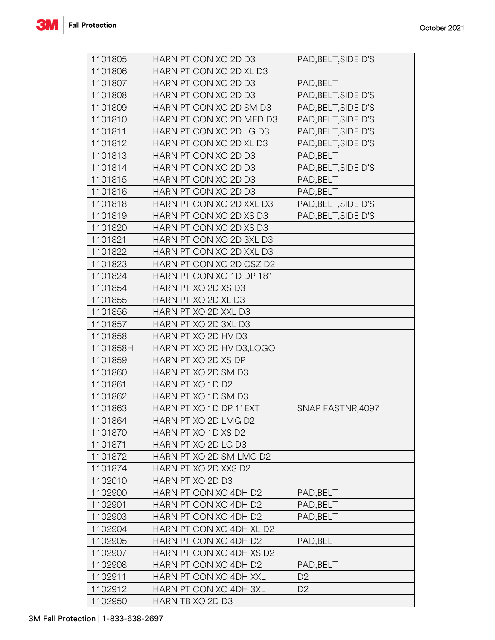

| 1101805  | HARN PT CON XO 2D D3      | PAD, BELT, SIDE D'S |
|----------|---------------------------|---------------------|
| 1101806  | HARN PT CON XO 2D XL D3   |                     |
| 1101807  | HARN PT CON XO 2D D3      | PAD, BELT           |
| 1101808  | HARN PT CON XO 2D D3      | PAD, BELT, SIDE D'S |
| 1101809  | HARN PT CON XO 2D SM D3   | PAD, BELT, SIDE D'S |
| 1101810  | HARN PT CON XO 2D MED D3  | PAD, BELT, SIDE D'S |
| 1101811  | HARN PT CON XO 2D LG D3   | PAD, BELT, SIDE D'S |
| 1101812  | HARN PT CON XO 2D XL D3   | PAD, BELT, SIDE D'S |
| 1101813  | HARN PT CON XO 2D D3      | PAD, BELT           |
| 1101814  | HARN PT CON XO 2D D3      | PAD, BELT, SIDE D'S |
| 1101815  | HARN PT CON XO 2D D3      | PAD, BELT           |
| 1101816  | HARN PT CON XO 2D D3      | PAD, BELT           |
| 1101818  | HARN PT CON XO 2D XXL D3  | PAD, BELT, SIDE D'S |
| 1101819  | HARN PT CON XO 2D XS D3   | PAD, BELT, SIDE D'S |
| 1101820  | HARN PT CON XO 2D XS D3   |                     |
| 1101821  | HARN PT CON XO 2D 3XL D3  |                     |
| 1101822  | HARN PT CON XO 2D XXL D3  |                     |
| 1101823  | HARN PT CON XO 2D CSZ D2  |                     |
| 1101824  | HARN PT CON XO 1D DP 18"  |                     |
| 1101854  | HARN PT XO 2D XS D3       |                     |
| 1101855  | HARN PT XO 2D XL D3       |                     |
| 1101856  | HARN PT XO 2D XXL D3      |                     |
| 1101857  | HARN PT XO 2D 3XL D3      |                     |
| 1101858  | HARN PT XO 2D HV D3       |                     |
| 1101858H | HARN PT XO 2D HV D3, LOGO |                     |
| 1101859  | HARN PT XO 2D XS DP       |                     |
| 1101860  | HARN PT XO 2D SM D3       |                     |
| 1101861  | HARN PT XO 1D D2          |                     |
| 1101862  | HARN PT XO 1D SM D3       |                     |
| 1101863  | HARN PT XO 1D DP 1' EXT   | SNAP FASTNR, 4097   |
| 1101864  | HARN PT XO 2D LMG D2      |                     |
| 1101870  | HARN PT XO 1D XS D2       |                     |
| 1101871  | HARN PT XO 2D LG D3       |                     |
| 1101872  | HARN PT XO 2D SM LMG D2   |                     |
| 1101874  | HARN PT XO 2D XXS D2      |                     |
| 1102010  | HARN PT XO 2D D3          |                     |
| 1102900  | HARN PT CON XO 4DH D2     | PAD, BELT           |
| 1102901  | HARN PT CON XO 4DH D2     | PAD, BELT           |
| 1102903  | HARN PT CON XO 4DH D2     | PAD, BELT           |
| 1102904  | HARN PT CON XO 4DH XL D2  |                     |
| 1102905  | HARN PT CON XO 4DH D2     | PAD, BELT           |
| 1102907  | HARN PT CON XO 4DH XS D2  |                     |
| 1102908  | HARN PT CON XO 4DH D2     | PAD, BELT           |
| 1102911  | HARN PT CON XO 4DH XXL    | D <sub>2</sub>      |
| 1102912  | HARN PT CON XO 4DH 3XL    | D <sub>2</sub>      |
| 1102950  | HARN TB XO 2D D3          |                     |
|          |                           |                     |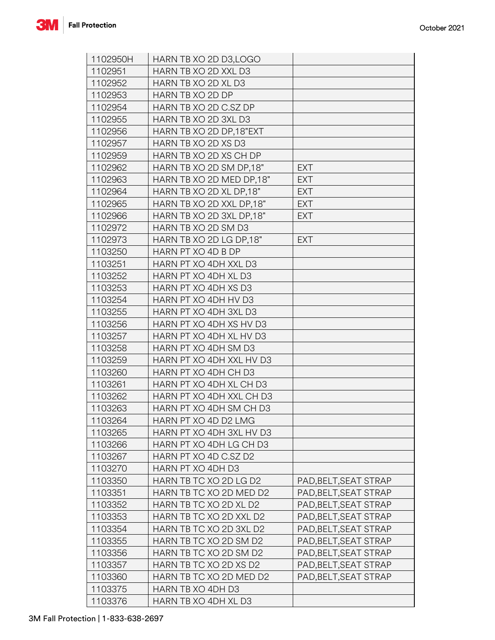

| 1102950H | HARN TB XO 2D D3, LOGO   |                       |
|----------|--------------------------|-----------------------|
| 1102951  | HARN TB XO 2D XXL D3     |                       |
| 1102952  | HARN TB XO 2D XL D3      |                       |
| 1102953  | HARN TB XO 2D DP         |                       |
| 1102954  | HARN TB XO 2D C.SZ DP    |                       |
| 1102955  | HARN TB XO 2D 3XL D3     |                       |
| 1102956  | HARN TB XO 2D DP,18"EXT  |                       |
| 1102957  | HARN TB XO 2D XS D3      |                       |
| 1102959  | HARN TB XO 2D XS CH DP   |                       |
| 1102962  | HARN TB XO 2D SM DP.18"  | <b>EXT</b>            |
| 1102963  | HARN TB XO 2D MED DP,18" | EXT                   |
| 1102964  | HARN TB XO 2D XL DP,18"  | <b>EXT</b>            |
| 1102965  | HARN TB XO 2D XXL DP,18" | <b>EXT</b>            |
| 1102966  | HARN TB XO 2D 3XL DP,18" | <b>EXT</b>            |
| 1102972  | HARN TB XO 2D SM D3      |                       |
| 1102973  | HARN TB XO 2D LG DP.18"  | <b>EXT</b>            |
| 1103250  | HARN PT XO 4D B DP       |                       |
| 1103251  | HARN PT XO 4DH XXL D3    |                       |
| 1103252  | HARN PT XO 4DH XL D3     |                       |
| 1103253  | HARN PT XO 4DH XS D3     |                       |
| 1103254  | HARN PT XO 4DH HV D3     |                       |
| 1103255  | HARN PT XO 4DH 3XL D3    |                       |
| 1103256  | HARN PT XO 4DH XS HV D3  |                       |
| 1103257  | HARN PT XO 4DH XL HV D3  |                       |
| 1103258  | HARN PT XO 4DH SM D3     |                       |
| 1103259  | HARN PT XO 4DH XXL HV D3 |                       |
| 1103260  | HARN PT XO 4DH CH D3     |                       |
| 1103261  | HARN PT XO 4DH XL CH D3  |                       |
| 1103262  | HARN PT XO 4DH XXL CH D3 |                       |
| 1103263  | HARN PT XO 4DH SM CH D3  |                       |
| 1103264  | HARN PT XO 4D D2 LMG     |                       |
| 1103265  | HARN PT XO 4DH 3XL HV D3 |                       |
| 1103266  | HARN PT XO 4DH LG CH D3  |                       |
| 1103267  | HARN PT XO 4D C.SZ D2    |                       |
| 1103270  | HARN PT XO 4DH D3        |                       |
| 1103350  | HARN TB TC XO 2D LG D2   | PAD, BELT, SEAT STRAP |
| 1103351  | HARN TB TC XO 2D MED D2  | PAD, BELT, SEAT STRAP |
| 1103352  | HARN TB TC XO 2D XL D2   | PAD, BELT, SEAT STRAP |
| 1103353  | HARN TB TC XO 2D XXL D2  | PAD, BELT, SEAT STRAP |
| 1103354  | HARN TB TC XO 2D 3XL D2  | PAD, BELT, SEAT STRAP |
| 1103355  | HARN TB TC XO 2D SM D2   | PAD, BELT, SEAT STRAP |
| 1103356  | HARN TB TC XO 2D SM D2   | PAD, BELT, SEAT STRAP |
| 1103357  | HARN TB TC XO 2D XS D2   | PAD, BELT, SEAT STRAP |
| 1103360  | HARN TB TC XO 2D MED D2  | PAD, BELT, SEAT STRAP |
| 1103375  | HARN TB XO 4DH D3        |                       |
| 1103376  | HARN TB XO 4DH XL D3     |                       |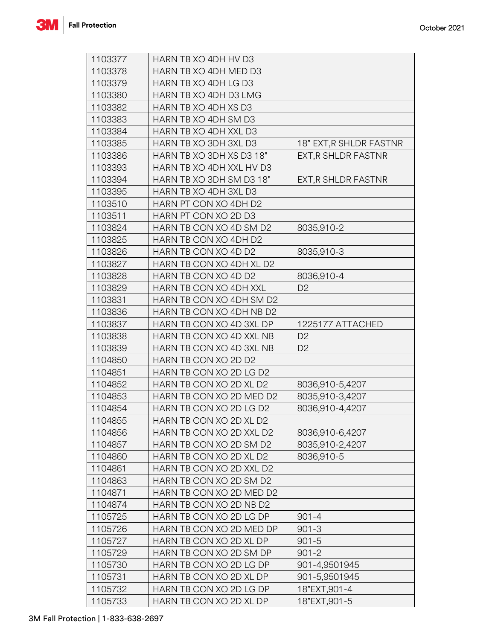

| 1103377 | HARN TB XO 4DH HV D3     |                         |
|---------|--------------------------|-------------------------|
| 1103378 | HARN TB XO 4DH MED D3    |                         |
| 1103379 | HARN TB XO 4DH LG D3     |                         |
| 1103380 | HARN TB XO 4DH D3 LMG    |                         |
| 1103382 | HARN TB XO 4DH XS D3     |                         |
| 1103383 | HARN TB XO 4DH SM D3     |                         |
| 1103384 | HARN TB XO 4DH XXL D3    |                         |
| 1103385 | HARN TB XO 3DH 3XL D3    | 18" EXT, R SHLDR FASTNR |
| 1103386 | HARN TB XO 3DH XS D3 18" | EXT, R SHLDR FASTNR     |
| 1103393 | HARN TB XO 4DH XXL HV D3 |                         |
| 1103394 | HARN TB XO 3DH SM D3 18" | EXT, R SHLDR FASTNR     |
| 1103395 | HARN TB XO 4DH 3XL D3    |                         |
| 1103510 | HARN PT CON XO 4DH D2    |                         |
| 1103511 | HARN PT CON XO 2D D3     |                         |
| 1103824 | HARN TB CON XO 4D SM D2  | 8035,910-2              |
| 1103825 | HARN TB CON XO 4DH D2    |                         |
| 1103826 | HARN TB CON XO 4D D2     | 8035,910-3              |
| 1103827 | HARN TB CON XO 4DH XL D2 |                         |
| 1103828 | HARN TB CON XO 4D D2     | 8036,910-4              |
| 1103829 | HARN TB CON XO 4DH XXL   | D <sub>2</sub>          |
| 1103831 | HARN TB CON XO 4DH SM D2 |                         |
| 1103836 | HARN TB CON XO 4DH NB D2 |                         |
| 1103837 | HARN TB CON XO 4D 3XL DP | 1225177 ATTACHED        |
| 1103838 | HARN TB CON XO 4D XXL NB | D <sub>2</sub>          |
| 1103839 | HARN TB CON XO 4D 3XL NB | D <sub>2</sub>          |
| 1104850 | HARN TB CON XO 2D D2     |                         |
| 1104851 | HARN TB CON XO 2D LG D2  |                         |
| 1104852 | HARN TB CON XO 2D XL D2  | 8036,910-5,4207         |
| 1104853 | HARN TB CON XO 2D MED D2 | 8035,910-3,4207         |
| 1104854 | HARN TB CON XO 2D LG D2  | 8036,910-4,4207         |
| 1104855 | HARN TB CON XO 2D XL D2  |                         |
| 1104856 | HARN TB CON XO 2D XXL D2 | 8036,910-6,4207         |
| 1104857 | HARN TB CON XO 2D SM D2  | 8035,910-2,4207         |
| 1104860 | HARN TB CON XO 2D XL D2  | 8036,910-5              |
| 1104861 | HARN TB CON XO 2D XXL D2 |                         |
| 1104863 | HARN TB CON XO 2D SM D2  |                         |
| 1104871 | HARN TB CON XO 2D MED D2 |                         |
| 1104874 | HARN TB CON XO 2D NB D2  |                         |
| 1105725 | HARN TB CON XO 2D LG DP  | $901 - 4$               |
| 1105726 | HARN TB CON XO 2D MED DP | $901 - 3$               |
| 1105727 | HARN TB CON XO 2D XL DP  | $901 - 5$               |
| 1105729 | HARN TB CON XO 2D SM DP  | $901 - 2$               |
| 1105730 | HARN TB CON XO 2D LG DP  | 901-4,9501945           |
| 1105731 | HARN TB CON XO 2D XL DP  | 901-5,9501945           |
|         |                          |                         |
| 1105732 | HARN TB CON XO 2D LG DP  | 18"EXT, 901-4           |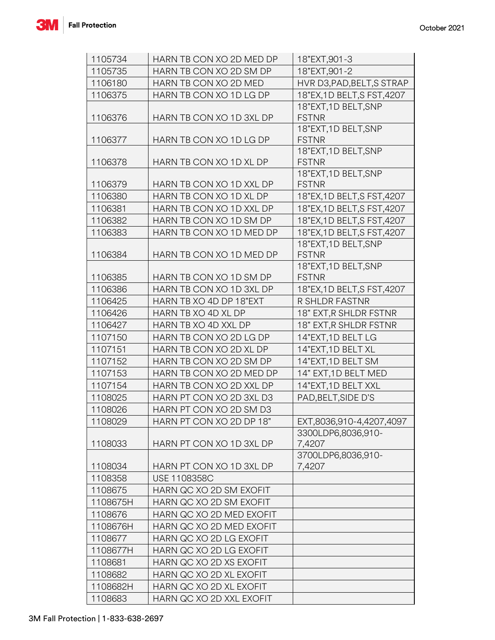

| 1105734  | HARN TB CON XO 2D MED DP | 18"EXT, 901-3                        |
|----------|--------------------------|--------------------------------------|
| 1105735  | HARN TB CON XO 2D SM DP  | 18"EXT, 901-2                        |
| 1106180  | HARN TB CON XO 2D MED    | HVR D3, PAD, BELT, S STRAP           |
| 1106375  | HARN TB CON XO 1D LG DP  | 18"EX, 1D BELT, S FST, 4207          |
|          |                          | 18"EXT, 1D BELT, SNP                 |
| 1106376  | HARN TB CON XO 1D 3XL DP | <b>FSTNR</b>                         |
|          |                          | 18"EXT,1D BELT,SNP                   |
| 1106377  | HARN TB CON XO 1D LG DP  | <b>FSTNR</b>                         |
|          |                          | 18"EXT,1D BELT,SNP                   |
| 1106378  | HARN TB CON XO 1D XL DP  | <b>FSTNR</b>                         |
| 1106379  |                          | 18"EXT, 1D BELT, SNP<br><b>FSTNR</b> |
|          | HARN TB CON XO 1D XXL DP |                                      |
| 1106380  | HARN TB CON XO 1D XL DP  | 18"EX, 1D BELT, S FST, 4207          |
| 1106381  | HARN TB CON XO 1D XXL DP | 18"EX, 1D BELT, S FST, 4207          |
| 1106382  | HARN TB CON XO 1D SM DP  | 18"EX, 1D BELT, S FST, 4207          |
| 1106383  | HARN TB CON XO 1D MED DP | 18"EX, 1D BELT, S FST, 4207          |
|          |                          | 18"EXT, 1D BELT, SNP                 |
| 1106384  | HARN TB CON XO 1D MED DP | <b>FSTNR</b><br>18"EXT, 1D BELT, SNP |
| 1106385  | HARN TB CON XO 1D SM DP  | <b>FSTNR</b>                         |
| 1106386  | HARN TB CON XO 1D 3XL DP | 18"EX, 1D BELT, S FST, 4207          |
| 1106425  | HARN TB XO 4D DP 18"EXT  | R SHLDR FASTNR                       |
| 1106426  | HARN TB XO 4D XL DP      | 18" EXT, R SHLDR FSTNR               |
| 1106427  | HARN TB XO 4D XXL DP     | 18" EXT, R SHLDR FSTNR               |
| 1107150  | HARN TB CON XO 2D LG DP  | 14"EXT, 1D BELT LG                   |
| 1107151  | HARN TB CON XO 2D XL DP  | 14"EXT, 1D BELT XL                   |
| 1107152  | HARN TB CON XO 2D SM DP  | 14"EXT, 1D BELT SM                   |
|          | HARN TB CON XO 2D MED DP |                                      |
| 1107153  |                          | 14" EXT, 1D BELT MED                 |
| 1107154  | HARN TB CON XO 2D XXL DP | 14"EXT, 1D BELT XXL                  |
| 1108025  | HARN PT CON XO 2D 3XL D3 | PAD, BELT, SIDE D'S                  |
| 1108026  | HARN PT CON XO 2D SM D3  |                                      |
| 1108029  | HARN PT CON XO 2D DP 18" | EXT,8036,910-4,4207,4097             |
| 1108033  | HARN PT CON XO 1D 3XL DP | 3300LDP6,8036,910-                   |
|          |                          | 7,4207<br>3700LDP6,8036,910-         |
| 1108034  | HARN PT CON XO 1D 3XL DP | 7,4207                               |
| 1108358  | <b>USE 1108358C</b>      |                                      |
| 1108675  | HARN QC XO 2D SM EXOFIT  |                                      |
| 1108675H | HARN QC XO 2D SM EXOFIT  |                                      |
| 1108676  | HARN QC XO 2D MED EXOFIT |                                      |
| 1108676H | HARN QC XO 2D MED EXOFIT |                                      |
|          |                          |                                      |
| 1108677  | HARN QC XO 2D LG EXOFIT  |                                      |
| 1108677H | HARN QC XO 2D LG EXOFIT  |                                      |
| 1108681  | HARN QC XO 2D XS EXOFIT  |                                      |
| 1108682  | HARN QC XO 2D XL EXOFIT  |                                      |
| 1108682H | HARN QC XO 2D XL EXOFIT  |                                      |
| 1108683  | HARN QC XO 2D XXL EXOFIT |                                      |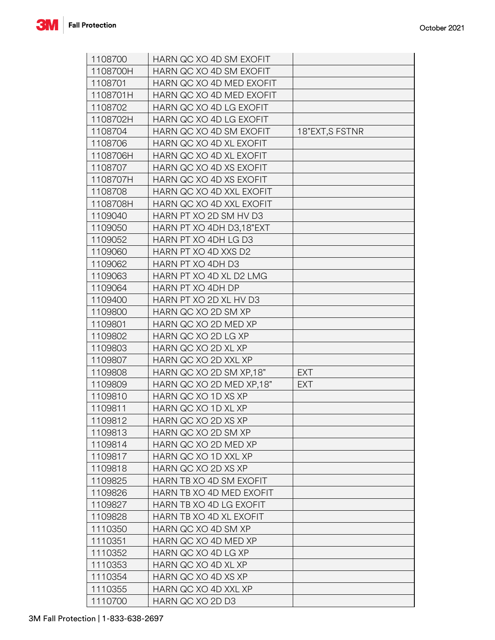

| 1108700  | HARN QC XO 4D SM EXOFIT  |                 |
|----------|--------------------------|-----------------|
| 1108700H | HARN QC XO 4D SM EXOFIT  |                 |
| 1108701  | HARN QC XO 4D MED EXOFIT |                 |
| 1108701H | HARN QC XO 4D MED EXOFIT |                 |
| 1108702  | HARN QC XO 4D LG EXOFIT  |                 |
| 1108702H | HARN QC XO 4D LG EXOFIT  |                 |
| 1108704  | HARN QC XO 4D SM EXOFIT  | 18"EXT, S FSTNR |
| 1108706  | HARN QC XO 4D XL EXOFIT  |                 |
| 1108706H | HARN QC XO 4D XL EXOFIT  |                 |
| 1108707  | HARN QC XO 4D XS EXOFIT  |                 |
| 1108707H | HARN QC XO 4D XS EXOFIT  |                 |
| 1108708  | HARN QC XO 4D XXL EXOFIT |                 |
| 1108708H | HARN QC XO 4D XXL EXOFIT |                 |
| 1109040  | HARN PT XO 2D SM HV D3   |                 |
| 1109050  | HARN PT XO 4DH D3,18"EXT |                 |
| 1109052  | HARN PT XO 4DH LG D3     |                 |
| 1109060  | HARN PT XO 4D XXS D2     |                 |
| 1109062  | HARN PT XO 4DH D3        |                 |
| 1109063  | HARN PT XO 4D XL D2 LMG  |                 |
| 1109064  | HARN PT XO 4DH DP        |                 |
| 1109400  | HARN PT XO 2D XL HV D3   |                 |
| 1109800  | HARN QC XO 2D SM XP      |                 |
| 1109801  | HARN QC XO 2D MED XP     |                 |
| 1109802  | HARN QC XO 2D LG XP      |                 |
| 1109803  | HARN QC XO 2D XL XP      |                 |
| 1109807  | HARN QC XO 2D XXL XP     |                 |
| 1109808  | HARN QC XO 2D SM XP.18"  | <b>EXT</b>      |
| 1109809  | HARN QC XO 2D MED XP,18" | <b>EXT</b>      |
| 1109810  | HARN QC XO 1D XS XP      |                 |
| 1109811  | HARN QC XO 1D XL XP      |                 |
| 1109812  | HARN QC XO 2D XS XP      |                 |
| 1109813  | HARN QC XO 2D SM XP      |                 |
| 1109814  | HARN QC XO 2D MED XP     |                 |
| 1109817  | HARN QC XO 1D XXL XP     |                 |
| 1109818  | HARN QC XO 2D XS XP      |                 |
| 1109825  | HARN TB XO 4D SM EXOFIT  |                 |
| 1109826  | HARN TB XO 4D MED EXOFIT |                 |
| 1109827  | HARN TB XO 4D LG EXOFIT  |                 |
| 1109828  | HARN TB XO 4D XL EXOFIT  |                 |
| 1110350  | HARN QC XO 4D SM XP      |                 |
| 1110351  | HARN QC XO 4D MED XP     |                 |
| 1110352  | HARN QC XO 4D LG XP      |                 |
|          |                          |                 |
| 1110353  | HARN QC XO 4D XL XP      |                 |
| 1110354  | HARN QC XO 4D XS XP      |                 |
| 1110355  | HARN QC XO 4D XXL XP     |                 |
| 1110700  | HARN QC XO 2D D3         |                 |